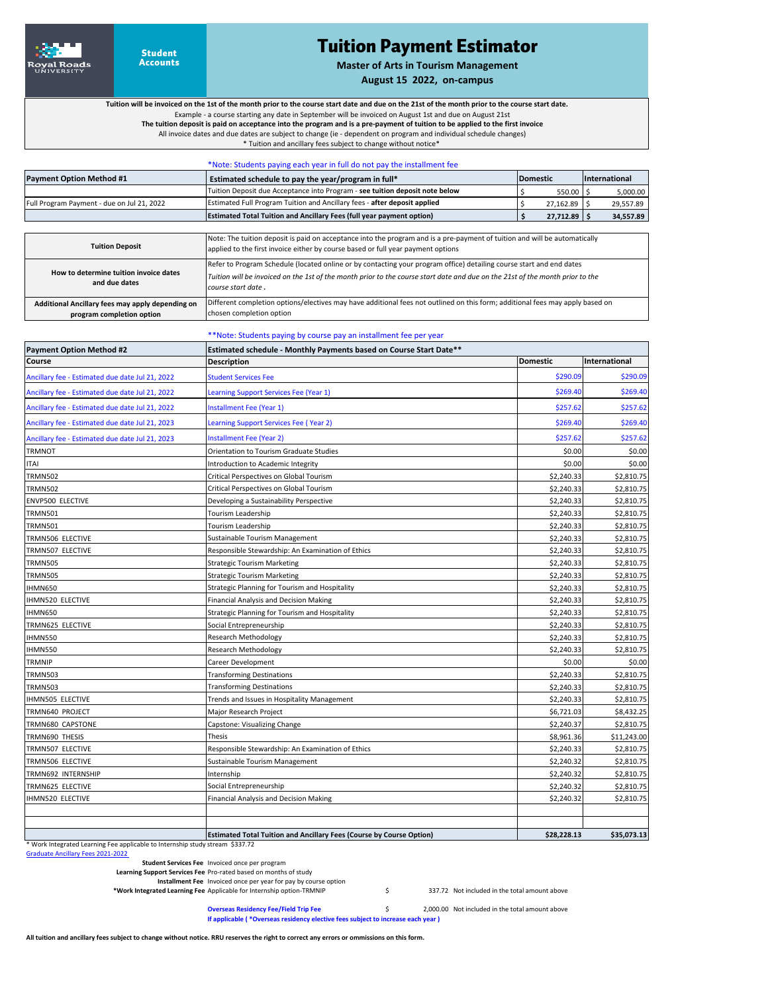Student Accounts

## Tuition Payment Estimator

**Master of Arts in Tourism Management**

**August 15 2022, on‐campus**

**Tuition will be invoiced on the 1st of the month prior to the course start date and due on the 21st of the month prior to the course start date.**

Example ‐ a course starting any date in September will be invoiced on August 1st and due on August 21st

 **The tuition deposit is paid on acceptance into the program and is a pre‐payment of tuition to be applied to the first invoice**

All invoice dates and due dates are subject to change (ie ‐ dependent on program and individual schedule changes)

\* Tuition and ancillary fees subject to change without notice\*

|                                            | *Note: Students paying each year in full do not pay the installment fee                                                                                                                                        |                 |                |               |
|--------------------------------------------|----------------------------------------------------------------------------------------------------------------------------------------------------------------------------------------------------------------|-----------------|----------------|---------------|
| <b>Payment Option Method #1</b>            | Estimated schedule to pay the year/program in full*                                                                                                                                                            | <b>Domestic</b> |                | International |
|                                            | Tuition Deposit due Acceptance into Program - see tuition deposit note below                                                                                                                                   |                 | 550.00         | 5,000.00      |
| Full Program Payment - due on Jul 21, 2022 | Estimated Full Program Tuition and Ancillary fees - after deposit applied                                                                                                                                      |                 | 27,162.89      | 29,557.89     |
|                                            | <b>Estimated Total Tuition and Ancillary Fees (full year payment option)</b>                                                                                                                                   |                 | $27,712.89$ \$ | 34,557.89     |
|                                            |                                                                                                                                                                                                                |                 |                |               |
| <b>Tuition Deposit</b>                     | Note: The tuition deposit is paid on acceptance into the program and is a pre-payment of tuition and will be automatically<br>applied to the first invoice either by course based or full year payment options |                 |                |               |

| How to determine tuition invoice dates<br>and due dates | Refer to Program Schedule (located online or by contacting your program office) detailing course start and end dates<br>Tuition will be invoiced on the 1st of the month prior to the course start date and due on the 21st of the month prior to the<br>course start date. |
|---------------------------------------------------------|-----------------------------------------------------------------------------------------------------------------------------------------------------------------------------------------------------------------------------------------------------------------------------|
| Additional Ancillary fees may apply depending on        | Different completion options/electives may have additional fees not outlined on this form; additional fees may apply based on                                                                                                                                               |
| program completion option                               | chosen completion option                                                                                                                                                                                                                                                    |

\*\*Note: Students paying by course pay an installment fee per year

| <b>Payment Option Method #2</b>                 | Estimated schedule - Monthly Payments based on Course Start Date**          |                 |               |  |  |
|-------------------------------------------------|-----------------------------------------------------------------------------|-----------------|---------------|--|--|
| Course                                          | <b>Description</b>                                                          | <b>Domestic</b> | International |  |  |
| Ancillary fee - Estimated due date Jul 21, 2022 | <b>Student Services Fee</b>                                                 | \$290.09        | \$290.09      |  |  |
| Ancillary fee - Estimated due date Jul 21, 2022 | Learning Support Services Fee (Year 1)                                      | \$269.40        | \$269.40      |  |  |
| Ancillary fee - Estimated due date Jul 21, 2022 | Installment Fee (Year 1)                                                    | \$257.62        | \$257.62      |  |  |
| Ancillary fee - Estimated due date Jul 21, 2023 | Learning Support Services Fee (Year 2)                                      | \$269.40        | \$269.40      |  |  |
| Ancillary fee - Estimated due date Jul 21, 2023 | <b>Installment Fee (Year 2)</b>                                             | \$257.62        | \$257.62      |  |  |
| <b>TRMNOT</b>                                   | Orientation to Tourism Graduate Studies                                     | \$0.00          | \$0.00        |  |  |
| <b>ITAI</b>                                     | Introduction to Academic Integrity                                          | \$0.00          | \$0.00        |  |  |
| <b>TRMN502</b>                                  | Critical Perspectives on Global Tourism                                     | \$2,240.33      | \$2,810.75    |  |  |
| <b>TRMN502</b>                                  | Critical Perspectives on Global Tourism                                     | \$2,240.33      | \$2,810.75    |  |  |
| <b>ENVP500 ELECTIVE</b>                         | Developing a Sustainability Perspective                                     | \$2,240.33      | \$2,810.75    |  |  |
| <b>TRMN501</b>                                  | Tourism Leadership                                                          | \$2,240.33      | \$2,810.75    |  |  |
| <b>TRMN501</b>                                  | Tourism Leadership                                                          | \$2,240.33      | \$2,810.75    |  |  |
| TRMN506 ELECTIVE                                | Sustainable Tourism Management                                              | \$2,240.33      | \$2,810.75    |  |  |
| TRMN507 ELECTIVE                                | Responsible Stewardship: An Examination of Ethics                           | \$2,240.33      | \$2,810.75    |  |  |
| <b>TRMN505</b>                                  | <b>Strategic Tourism Marketing</b>                                          | \$2,240.33      | \$2,810.75    |  |  |
| <b>TRMN505</b>                                  | <b>Strategic Tourism Marketing</b>                                          | \$2,240.33      | \$2,810.75    |  |  |
| IHMN650                                         | Strategic Planning for Tourism and Hospitality                              | \$2,240.33      | \$2,810.75    |  |  |
| <b>IHMN520 ELECTIVE</b>                         | Financial Analysis and Decision Making                                      | \$2,240.33      | \$2,810.75    |  |  |
| IHMN650                                         | Strategic Planning for Tourism and Hospitality                              | \$2,240.33      | \$2,810.75    |  |  |
| TRMN625 ELECTIVE                                | Social Entrepreneurship                                                     | \$2,240.33      | \$2,810.75    |  |  |
| IHMN550                                         | Research Methodology                                                        | \$2,240.33      | \$2,810.75    |  |  |
| IHMN550                                         | Research Methodology                                                        | \$2,240.33      | \$2,810.75    |  |  |
| <b>TRMNIP</b>                                   | Career Development                                                          | \$0.00          | \$0.00        |  |  |
| <b>TRMN503</b>                                  | <b>Transforming Destinations</b>                                            | \$2,240.33      | \$2,810.75    |  |  |
| <b>TRMN503</b>                                  | <b>Transforming Destinations</b>                                            | \$2,240.33      | \$2,810.75    |  |  |
| <b>IHMN505 ELECTIVE</b>                         | Trends and Issues in Hospitality Management                                 | \$2,240.33      | \$2,810.75    |  |  |
| TRMN640 PROJECT                                 | Major Research Project                                                      | \$6,721.03      | \$8,432.25    |  |  |
| TRMN680 CAPSTONE                                | Capstone: Visualizing Change                                                | \$2,240.37      | \$2,810.75    |  |  |
| TRMN690 THESIS                                  | Thesis                                                                      | \$8,961.36      | \$11,243.00   |  |  |
| TRMN507 ELECTIVE                                | Responsible Stewardship: An Examination of Ethics                           | \$2,240.33      | \$2,810.75    |  |  |
| TRMN506 ELECTIVE                                | Sustainable Tourism Management                                              | \$2,240.32      | \$2,810.75    |  |  |
| TRMN692 INTERNSHIP                              | Internship                                                                  | \$2,240.32      | \$2,810.75    |  |  |
| TRMN625 ELECTIVE                                | Social Entrepreneurship                                                     | \$2,240.32      | \$2,810.75    |  |  |
| IHMN520 ELECTIVE                                | Financial Analysis and Decision Making                                      | \$2,240.32      | \$2,810.75    |  |  |
|                                                 |                                                                             |                 |               |  |  |
|                                                 | <b>Estimated Total Tuition and Ancillary Fees (Course by Course Option)</b> | \$28,228.13     | \$35,073.13   |  |  |

\* Work Integrated Learning Fee applicable to Internship study stream \$337.72 Graduate Ancillary Fees 2021‐2022

**Student Services Fee**  Invoiced once per program

**Learning Support Services Fee** Pro‐rated based on months of study

**Installment Fee**  Invoiced once per year for pay by course option

\*Work Integrated Learning Fee Applicable for Internship option-TRMNIP **337.72** Not included in the total amount above

**Overseas Residency Fee/Field Trip Fee**  $\frac{1}{2}$   $\frac{2}{000.00}$  Not included in the total amount above **If applicable ( \*Overseas residency elective fees subject to increase each year )**

**All tuition and ancillary fees subject to change without notice. RRU reserves the right to correct any errors or ommissions on this form.**